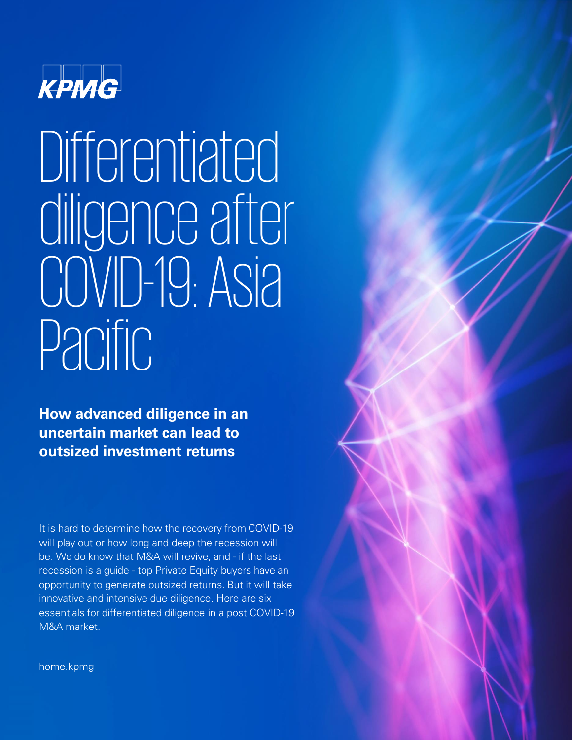

# Differentiated diligence after COVID-19: Asia Pacific

**How advanced diligence in an uncertain market can lead to outsized investment returns**

It is hard to determine how the recovery from COVID-19 will play out or how long and deep the recession will be. We do know that M&A will revive, and - if the last recession is a guide - top Private Equity buyers have an opportunity to generate outsized returns. But it will take innovative and intensive due diligence. Here are six essentials for differentiated diligence in a post COVID-19 M&A market.

home.kpmg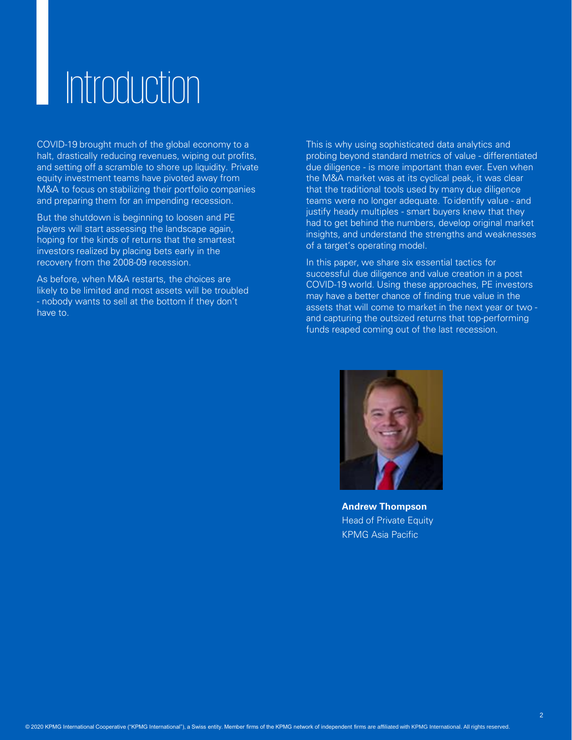# Introduction

COVID-19 brought much of the global economy to a halt, drastically reducing revenues, wiping out profits, and setting off a scramble to shore up liquidity. Private equity investment teams have pivoted away from M&A to focus on stabilizing their portfolio companies and preparing them for an impending recession.

But the shutdown is beginning to loosen and PE players will start assessing the landscape again, hoping for the kinds of returns that the smartest investors realized by placing bets early in the recovery from the 2008-09 recession.

As before, when M&A restarts, the choices are likely to be limited and most assets will be troubled - nobody wants to sell at the bottom if they don't have to.

This is why using sophisticated data analytics and probing beyond standard metrics of value - differentiated due diligence - is more important than ever. Even when the M&A market was at its cyclical peak, it was clear that the traditional tools used by many due diligence teams were no longer adequate. To identify value - and justify heady multiples - smart buyers knew that they had to get behind the numbers, develop original market insights, and understand the strengths and weaknesses of a target's operating model.

In this paper, we share six essential tactics for successful due diligence and value creation in a post COVID-19 world. Using these approaches, PE investors may have a better chance of finding true value in the assets that will come to market in the next year or two and capturing the outsized returns that top-performing funds reaped coming out of the last recession.



**Andrew Thompson** Head of Private Equity KPMG Asia Pacific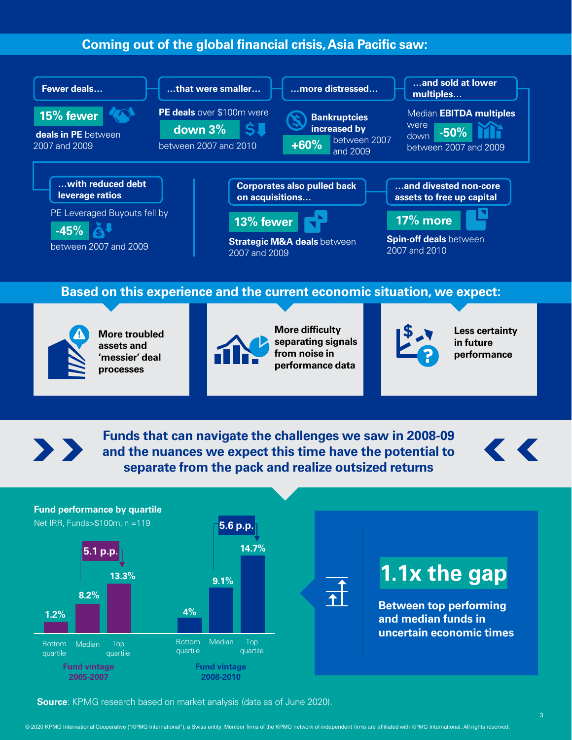### **Coming out of the global financial crisis, Asia Pacific saw:**



 $\sum_{i=1}^{n}$ 

**Funds that can navigate the challenges we saw in 2008-09 and the nuances we expect this time have the potential to separate from the pack and realize outsized returns**





**Source**: KPMG research based on market analysis (data as of June 2020).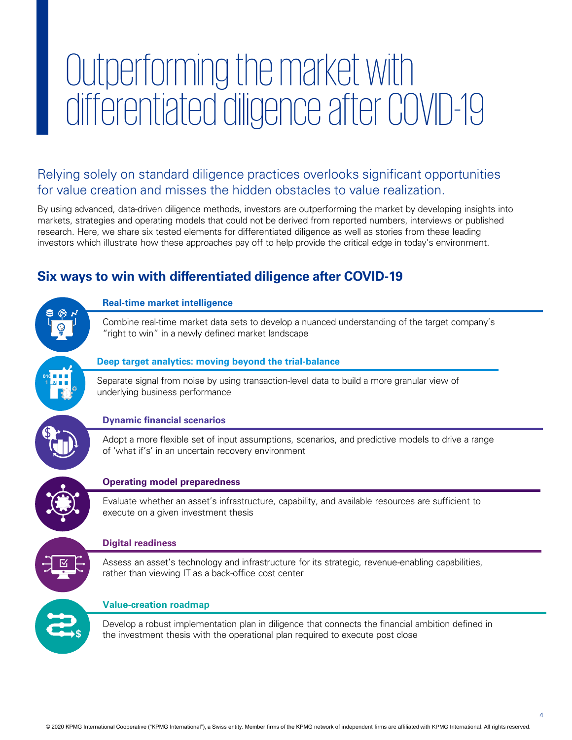# Outperforming the market with differentiated diligence after COVID-19

Relying solely on standard diligence practices overlooks significant opportunities for value creation and misses the hidden obstacles to value realization.

By using advanced, data-driven diligence methods, investors are outperforming the market by developing insights into markets, strategies and operating models that could not be derived from reported numbers, interviews or published research. Here, we share six tested elements for differentiated diligence as well as stories from these leading investors which illustrate how these approaches pay off to help provide the critical edge in today's environment.

# **Six ways to win with differentiated diligence after COVID-19**

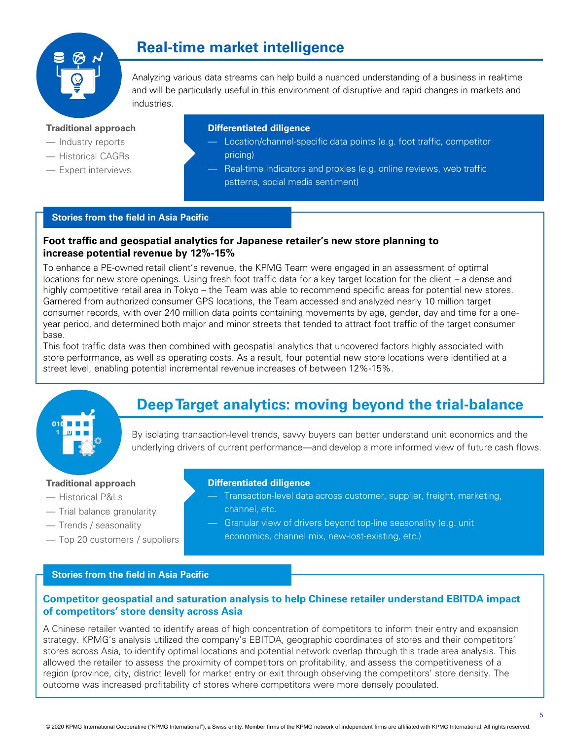

# **Real-time market intelligence**

Analyzing various data streams can help build a nuanced understanding of a business in real-time and will be particularly useful in this environment of disruptive and rapid changes in markets and industries.

#### **Traditional approach**

- Industry reports
- Historical CAGRs
- Expert interviews

#### **Differentiated diligence**

- Location/channel-specific data points (e.g. foot traffic, competitor pricing)
- Real-time indicators and proxies (e.g. online reviews, web traffic patterns, social media sentiment)

#### **Stories from the field in Asia Pacific**

#### **Foot traffic and geospatial analytics for Japanese retailer's new store planning to increase potential revenue by 12%-15%**

To enhance a PE-owned retail client's revenue, the KPMG Team were engaged in an assessment of optimal locations for new store openings. Using fresh foot traffic data for a key target location for the client – a dense and highly competitive retail area in Tokyo – the Team was able to recommend specific areas for potential new stores. Garnered from authorized consumer GPS locations, the Team accessed and analyzed nearly 10 million target consumer records, with over 240 million data points containing movements by age, gender, day and time for a oneyear period, and determined both major and minor streets that tended to attract foot traffic of the target consumer base.

This foot traffic data was then combined with geospatial analytics that uncovered factors highly associated with store performance, as well as operating costs. As a result, four potential new store locations were identified at a street level, enabling potential incremental revenue increases of between 12%-15%.



# **Deep Target analytics: moving beyond the trial-balance**

By isolating transaction-level trends, savvy buyers can better understand unit economics and the underlying drivers of current performance—and develop a more informed view of future cash flows.

#### **Traditional approach**

- Historical P&Ls
- Trial balance granularity
- Trends / seasonality
- Top 20 customers / suppliers

#### **Differentiated diligence**

- Transaction-level data across customer, supplier, freight, marketing, channel, etc.
- Granular view of drivers beyond top-line seasonality (e.g. unit economics, channel mix, new-lost-existing, etc.)

#### **Stories from the field in Asia Pacific**

#### **Competitor geospatial and saturation analysis to help Chinese retailer understand EBITDA impact of competitors' store density across Asia**

A Chinese retailer wanted to identify areas of high concentration of competitors to inform their entry and expansion strategy. KPMG's analysis utilized the company's EBITDA, geographic coordinates of stores and their competitors' stores across Asia, to identify optimal locations and potential network overlap through this trade area analysis. This allowed the retailer to assess the proximity of competitors on profitability, and assess the competitiveness of a region (province, city, district level) for market entry or exit through observing the competitors' store density. The outcome was increased profitability of stores where competitors were more densely populated.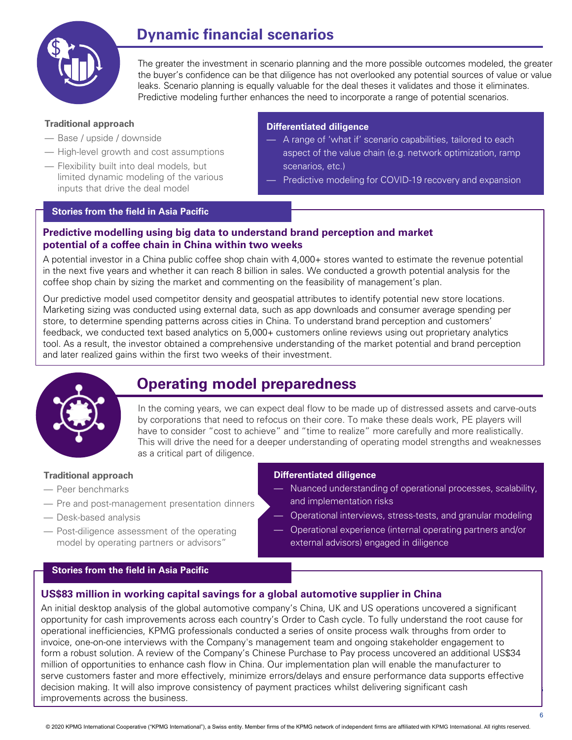

# **Dynamic financial scenarios**

The greater the investment in scenario planning and the more possible outcomes modeled, the greater the buyer's confidence can be that diligence has not overlooked any potential sources of value or value leaks. Scenario planning is equally valuable for the deal theses it validates and those it eliminates. Predictive modeling further enhances the need to incorporate a range of potential scenarios.

#### **Traditional approach**

- Base / upside / downside
- High-level growth and cost assumptions
- Flexibility built into deal models, but limited dynamic modeling of the various inputs that drive the deal model

## **Differentiated diligence**

- A range of 'what if' scenario capabilities, tailored to each aspect of the value chain (e.g. network optimization, ramp scenarios, etc.)
- Predictive modeling for COVID-19 recovery and expansion

#### **Stories from the field in Asia Pacific**

#### **Predictive modelling using big data to understand brand perception and market potential of a coffee chain in China within two weeks**

A potential investor in a China public coffee shop chain with 4,000+ stores wanted to estimate the revenue potential in the next five years and whether it can reach 8 billion in sales. We conducted a growth potential analysis for the coffee shop chain by sizing the market and commenting on the feasibility of management's plan.

Our predictive model used competitor density and geospatial attributes to identify potential new store locations. Marketing sizing was conducted using external data, such as app downloads and consumer average spending per store, to determine spending patterns across cities in China. To understand brand perception and customers' feedback, we conducted text based analytics on 5,000+ customers online reviews using out proprietary analytics tool. As a result, the investor obtained a comprehensive understanding of the market potential and brand perception and later realized gains within the first two weeks of their investment.



# **Operating model preparedness**

In the coming years, we can expect deal flow to be made up of distressed assets and carve-outs by corporations that need to refocus on their core. To make these deals work, PE players will have to consider "cost to achieve" and "time to realize" more carefully and more realistically. This will drive the need for a deeper understanding of operating model strengths and weaknesses as a critical part of diligence.

#### **Traditional approach**

- Peer benchmarks
- Pre and post-management presentation dinners
- Desk-based analysis
- Post-diligence assessment of the operating model by operating partners or advisors"

#### **Differentiated diligence**

- Nuanced understanding of operational processes, scalability, and implementation risks
- Operational interviews, stress-tests, and granular modeling
- Operational experience (internal operating partners and/or external advisors) engaged in diligence

#### **Stories from the field in Asia Pacific**

#### **US\$83 million in working capital savings for a global automotive supplier in China**

decision making. It will also improve consistency of payment practices whilst delivering significant cash improvements across the business. All rights reserved. All rights reserved. All rights reserved. All rights reserved. All rights reserved. All rights reserved. All rights reserved. The served of the served. The served of t An initial desktop analysis of the global automotive company's China, UK and US operations uncovered a significant opportunity for cash improvements across each country's Order to Cash cycle. To fully understand the root cause for operational inefficiencies, KPMG professionals conducted a series of onsite process walk throughs from order to invoice, one-on-one interviews with the Company's management team and ongoing stakeholder engagement to form a robust solution. A review of the Company's Chinese Purchase to Pay process uncovered an additional US\$34 million of opportunities to enhance cash flow in China. Our implementation plan will enable the manufacturer to serve customers faster and more effectively, minimize errors/delays and ensure performance data supports effective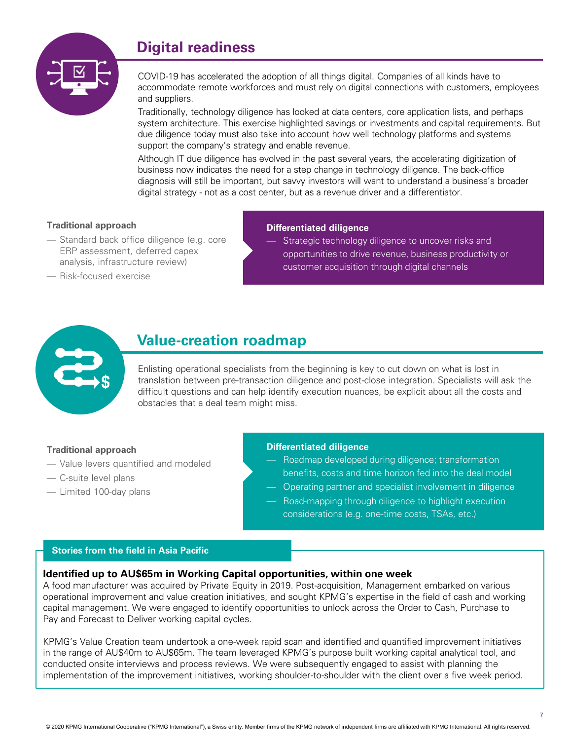# **Digital readiness**



COVID-19 has accelerated the adoption of all things digital. Companies of all kinds have to accommodate remote workforces and must rely on digital connections with customers, employees and suppliers.

Traditionally, technology diligence has looked at data centers, core application lists, and perhaps system architecture. This exercise highlighted savings or investments and capital requirements. But due diligence today must also take into account how well technology platforms and systems support the company's strategy and enable revenue.

Although IT due diligence has evolved in the past several years, the accelerating digitization of business now indicates the need for a step change in technology diligence. The back-office diagnosis will still be important, but savvy investors will want to understand a business's broader digital strategy - not as a cost center, but as a revenue driver and a differentiator.

#### **Traditional approach**

— Standard back office diligence (e.g. core ERP assessment, deferred capex analysis, infrastructure review)

#### **Differentiated diligence**

— Strategic technology diligence to uncover risks and opportunities to drive revenue, business productivity or customer acquisition through digital channels

— Risk-focused exercise



# **Value-creation roadmap**

Enlisting operational specialists from the beginning is key to cut down on what is lost in translation between pre-transaction diligence and post-close integration. Specialists will ask the difficult questions and can help identify execution nuances, be explicit about all the costs and obstacles that a deal team might miss.

#### **Traditional approach**

- Value levers quantified and modeled
- C-suite level plans
- Limited 100-day plans

#### **Differentiated diligence**

- Roadmap developed during diligence; transformation benefits, costs and time horizon fed into the deal model
- Operating partner and specialist involvement in diligence
- Road-mapping through diligence to highlight execution considerations (e.g. one-time costs, TSAs, etc.)

#### **Stories from the field in Asia Pacific**

#### **Identified up to AU\$65m in Working Capital opportunities, within one week**

A food manufacturer was acquired by Private Equity in 2019. Post-acquisition, Management embarked on various operational improvement and value creation initiatives, and sought KPMG's expertise in the field of cash and working capital management. We were engaged to identify opportunities to unlock across the Order to Cash, Purchase to Pay and Forecast to Deliver working capital cycles.

KPMG's Value Creation team undertook a one-week rapid scan and identified and quantified improvement initiatives in the range of AU\$40m to AU\$65m. The team leveraged KPMG's purpose built working capital analytical tool, and conducted onsite interviews and process reviews. We were subsequently engaged to assist with planning the implementation of the improvement initiatives, working shoulder-to-shoulder with the client over a five week period.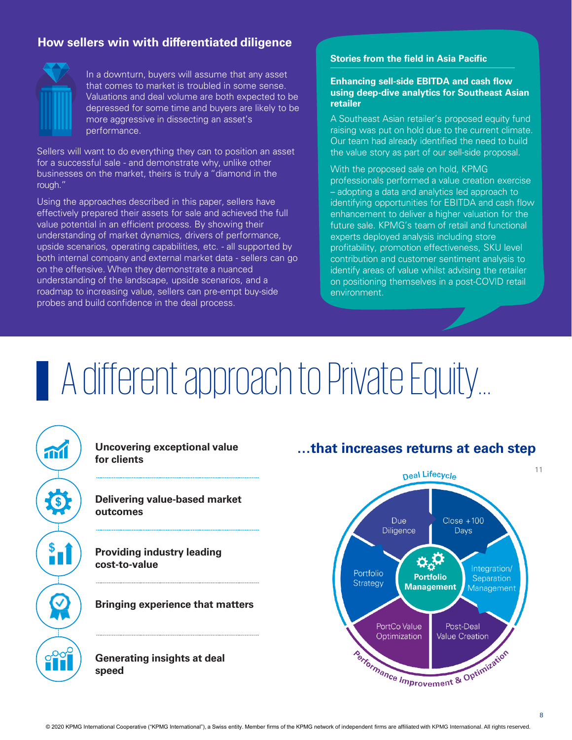### **How sellers win with differentiated diligence**



In a downturn, buyers will assume that any asset that comes to market is troubled in some sense. Valuations and deal volume are both expected to be depressed for some time and buyers are likely to be more aggressive in dissecting an asset's performance.

Sellers will want to do everything they can to position an asset for a successful sale - and demonstrate why, unlike other businesses on the market, theirs is truly a "diamond in the rough."

Using the approaches described in this paper, sellers have effectively prepared their assets for sale and achieved the full value potential in an efficient process. By showing their understanding of market dynamics, drivers of performance, upside scenarios, operating capabilities, etc. - all supported by both internal company and external market data - sellers can go on the offensive. When they demonstrate a nuanced understanding of the landscape, upside scenarios, and a roadmap to increasing value, sellers can pre-empt buy-side probes and build confidence in the deal process.

#### **Stories from the field in Asia Pacific**

#### **Enhancing sell-side EBITDA and cash flow using deep-dive analytics for Southeast Asian retailer**

A Southeast Asian retailer's proposed equity fund raising was put on hold due to the current climate. Our team had already identified the need to build the value story as part of our sell-side proposal.

With the proposed sale on hold, KPMG professionals performed a value creation exercise – adopting a data and analytics led approach to identifying opportunities for EBITDA and cash flow enhancement to deliver a higher valuation for the future sale. KPMG's team of retail and functional experts deployed analysis including store profitability, promotion effectiveness, SKU level contribution and customer sentiment analysis to identify areas of value whilst advising the retailer on positioning themselves in a post-COVID retail environment.

# A different approach to Private Equity…



**for clients**

**Delivering value-based market outcomes**

**Providing industry leading cost-to-value**

**Bringing experience that matters** 

**Generating insights at deal speed** 

## **Uncovering exceptional value …that increases returns at each step**

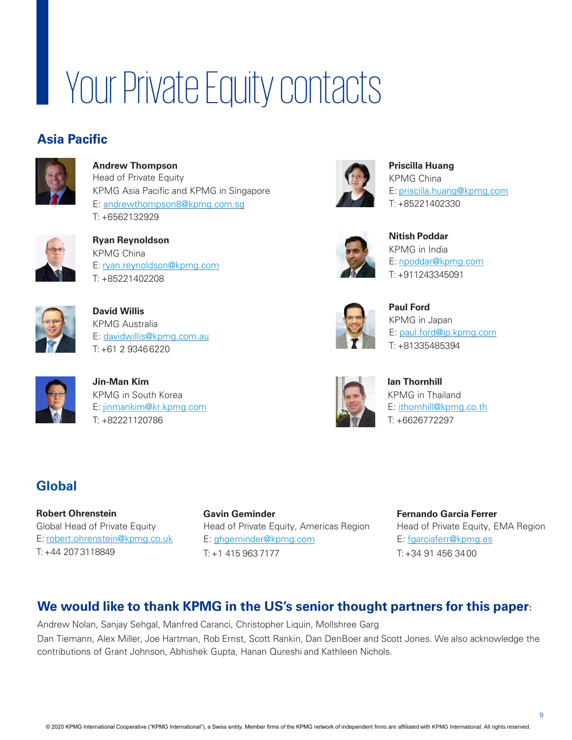# Your Private Equity contacts

# **Asia Pacific**



**Andrew Thompson** Head of Private Equity KPMG Asia Pacific and KPMG in Singapore E: [andrewthompson8@kpmg.com.sg](mailto:andrewthompson8@kpmg.com.sg)  T: +6562132929



**Ryan Reynoldson** KPMG China E: [ryan.reynoldson@kpmg.com](mailto:ryan.reynoldson@kpmg.com)  T: +85221402208



**David Willis** KPMG Australia E: [davidwillis@kpmg.com.au](mailto:davidwillis@kpmg.com.au)  T: +61 2 93466220



**Jin-Man Kim** KPMG in South Korea E: [jinmankim@kr.kpmg.com](mailto:jinmankim@kr.kpmg.com) T: +82221120786

# **Global**

**Robert Ohrenstein** Global Head of Private Equity E: [robert.ohrenstein@kpmg.co.uk](mailto:robert.ohrenstein@kpmg.co.uk) T: +44 2073118849

**Gavin Geminder** Head of Private Equity, Americas Region E: [ghgeminder@kpmg.com](mailto:ghgeminder@kpmg.com) T: +1 415 963 7177



**Priscilla Huang** KPMG China E: [priscilla.huang@kpmg.com](mailto:priscilla.huang@kpmg.com) T: +85221402330



**Nitish Poddar** KPMG in India E: [npoddar@kpmg.com](mailto:npoddar@kpmg.com)  T: +911243345091



**Paul Ford** KPMG in Japan E: p[aul.ford@jp.kpmg.com](mailto:Paul.Ford@jp.kpmg.com) T: +81335485394



**Ian Thornhill** KPMG in Thailand E: ithornhill@kpmg.co.th T: +6626772297

**Fernando Garcia Ferrer** Head of Private Equity, EMA Region E: [fgarciaferr@kpmg.es](mailto:fgarciaferr@kpmg.es)  $T: +34.91.456.3400$ 

### **We would like to thank KPMG in the US's senior thought partners for this paper:**

Andrew Nolan, Sanjay Sehgal, Manfred Caranci, Christopher Liquin, Mollshree Garg Dan Tiemann, Alex Miller, Joe Hartman, Rob Ernst, Scott Rankin, Dan DenBoer and Scott Jones. We also acknowledge the contributions of Grant Johnson, Abhishek Gupta, Hanan Qureshi and Kathleen Nichols.